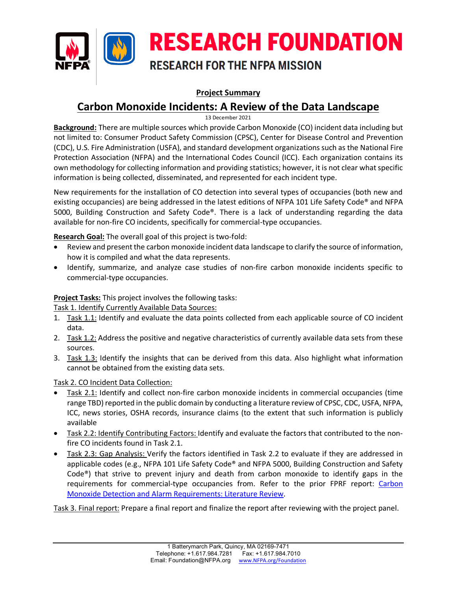

## **Project Summary**

## **Carbon Monoxide Incidents: A Review of the Data Landscape**

13 December 2021

**Background:** There are multiple sources which provide Carbon Monoxide (CO) incident data including but not limited to: Consumer Product Safety Commission (CPSC), Center for Disease Control and Prevention (CDC), U.S. Fire Administration (USFA), and standard development organizations such as the National Fire Protection Association (NFPA) and the International Codes Council (ICC). Each organization contains its own methodology for collecting information and providing statistics; however, it is not clear what specific information is being collected, disseminated, and represented for each incident type.

New requirements for the installation of CO detection into several types of occupancies (both new and existing occupancies) are being addressed in the latest editions of NFPA 101 Life Safety Code® and NFPA 5000, Building Construction and Safety Code®. There is a lack of understanding regarding the data available for non-fire CO incidents, specifically for commercial-type occupancies.

**Research Goal:** The overall goal of this project is two-fold:

- Review and present the carbon monoxide incident data landscape to clarify the source of information, how it is compiled and what the data represents.
- Identify, summarize, and analyze case studies of non-fire carbon monoxide incidents specific to commercial-type occupancies.

## **Project Tasks:** This project involves the following tasks:

Task 1. Identify Currently Available Data Sources:

- 1. Task 1.1: Identify and evaluate the data points collected from each applicable source of CO incident data.
- 2. Task 1.2: Address the positive and negative characteristics of currently available data sets from these sources.
- 3. Task 1.3: Identify the insights that can be derived from this data. Also highlight what information cannot be obtained from the existing data sets.

Task 2. CO Incident Data Collection:

- Task 2.1: Identify and collect non-fire carbon monoxide incidents in commercial occupancies (time range TBD) reported in the public domain by conducting a literature review of CPSC, CDC, USFA, NFPA, ICC, news stories, OSHA records, insurance claims (to the extent that such information is publicly available
- Task 2.2: Identify Contributing Factors: Identify and evaluate the factors that contributed to the nonfire CO incidents found in Task 2.1.
- Task 2.3: Gap Analysis: Verify the factors identified in Task 2.2 to evaluate if they are addressed in applicable codes (e.g., NFPA 101 Life Safety Code® and NFPA 5000, Building Construction and Safety Code®) that strive to prevent injury and death from carbon monoxide to identify gaps in the requirements for commercial-type occupancies from. Refer to the prior FPRF report: Carbon [Monoxide Detection and Alarm Requirements: Literature Review.](https://www.nfpa.org/News-and-Research/Data-research-and-tools/Detection-and-Signaling/Carbon-Monoxide-Detection-and-Alarm-Requirements-Literature-Review)

Task 3. Final report: Prepare a final report and finalize the report after reviewing with the project panel.